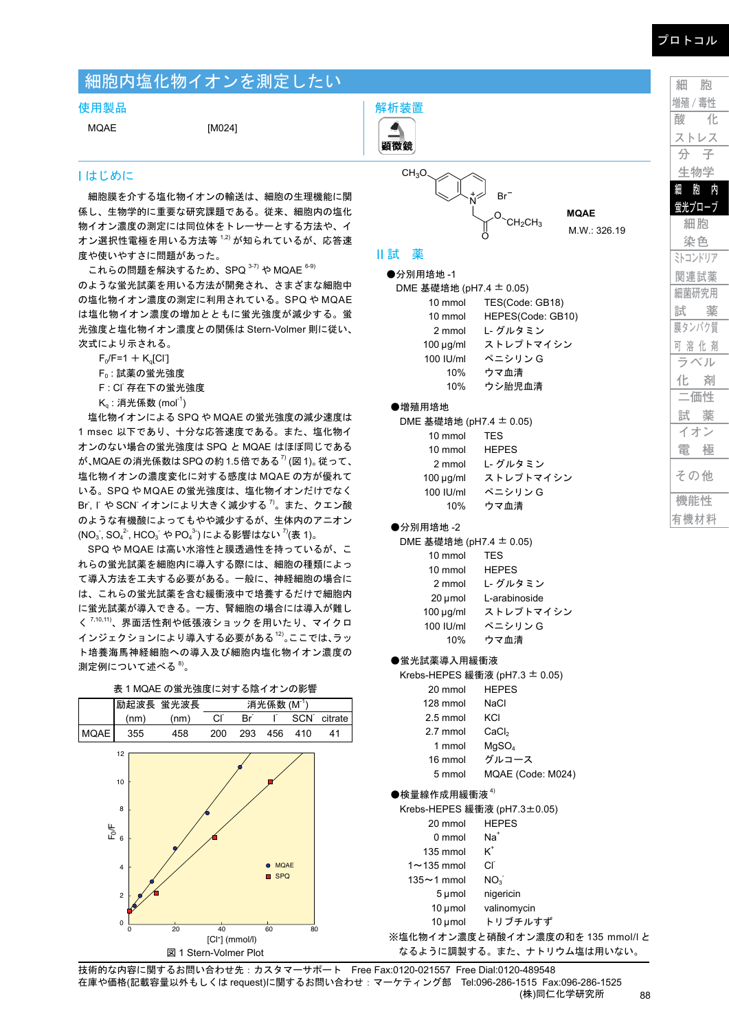# 細胞内塩化物イオンを測定したい

#### 使用製品

MQAE [M024]

## I はじめに

細胞膜を介する塩化物イオンの輸送は、細胞の生理機能に関 係し、生物学的に重要な研究課題である。従来、細胞内の塩化 物イオン濃度の測定には同位体をトレーサーとする方法や、イ オン選択性電極を用いる方法等 <sup>1,2)</sup> が知られているが、応答速 度や使いやすさに問題があった。

これらの問題を解決するため、SPQ <sup>3-7)</sup> や MQAE <sup>6-9)</sup> のような蛍光試薬を用いる方法が開発され、さまざまな細胞中 の塩化物イオン濃度の測定に利用されている。SPQ や MQAE は塩化物イオン濃度の増加とともに蛍光強度が減少する。蛍 光強度と塩化物イオン濃度との関係は Stern-Volmer 則に従い、 次式により示される。

 $F_0/F = 1 + K_q[CI]$ 

- F0 : 試薬の蛍光強度
- F: CI 存在下の蛍光強度
- $\mathsf{K}_{\mathsf{q}}$  : 消光係数 (mol $^{\mathsf{-1}}$ )

塩化物イオンによる SPQ や MQAE の蛍光強度の減少速度は 1 msec 以下であり、十分な応答速度である。また、塩化物イ オンのない場合の蛍光強度は SPQ と MQAE はほぼ同じである が、MQAE の消光係数は SPQ の約 1.5 倍である<sup>7)</sup> (図 1)。 従って、 塩化物イオンの濃度変化に対する感度は MQAE の方が優れて いる。SPQ や MQAE の蛍光強度は、塩化物イオンだけでなく Br, I や SCN イオンにより大きく減少する <sup>7)</sup>。また、クエン酸 のような有機酸によってもやや減少するが、生体内のアニオン (NO $_3$ , SO $_4^2$ , HCO $_3^3$  や PO $_4^3$ ) による影響はない  $\sqrt[7]{(1)}$ 

SPQ や MQAE は高い水溶性と膜透過性を持っているが、こ れらの蛍光試薬を細胞内に導入する際には、細胞の種類によっ て導入方法を工夫する必要がある。一般に、神経細胞の場合に は、これらの蛍光試薬を含む緩衝液中で培養するだけで細胞内 に蛍光試薬が導入できる。一方、腎細胞の場合には導入が難し く 7,10,11)、界面活性剤や低張液ショックを用いたり、マイクロ インジェクションにより導入する必要がある<sup>12)</sup>。ここでは、ラッ ト培養海馬神経細胞への導入及び細胞内塩化物イオン濃度の 測定例について述べる <sup>8)</sup>。

表 1 MQAE の蛍光強度に対する陰イオンの影響 励起波長 蛍光波長 消光係数 (M<sup>-1</sup>) (nm) (nm) Cl - Br  $\Gamma$ SCN<sup>-</sup> citrate MQAE 355 458 200 293 456 410 41 図 1 Stern-Volmer Plot 0 20 40 60 80 2 4 ⊩<br>⊾<br>6 8 10 12 [Cl-] (mmol/l)  $^{\bullet}$  MO<sub>A</sub>E **B** SPQ



M.W.: 326.19

**MQAE**

II 試 薬

解析装置 $\blacktriangle$ 

| ᄌ |  |  |
|---|--|--|
|   |  |  |
|   |  |  |

| ●分別用培地-1                |                   |
|-------------------------|-------------------|
| DME 基礎培地 (pH7.4 ± 0.05) |                   |
| 10 mmol                 | TES(Code: GB18)   |
| 10 mmol                 | HEPES(Code: GB10) |
| 2 mmol                  | L-グルタミン           |
| $100 \mu q/ml$          | ストレプトマイシン         |
| 100 IU/ml               | ペニシリン G           |
| 10%                     | ウマ血清              |
| 10%                     | ウシ胎児血清            |

#### ●増殖用培地

| DME 基礎培地 (pH7.4 ± 0.05) |              |
|-------------------------|--------------|
| 10 mmol                 | <b>TFS</b>   |
| 10 mmol                 | <b>HEPES</b> |
| 2 mmol                  | L- グルタミン     |
| $100 \mu g/ml$          | ストレプトマイシン    |
| 100 IU/ml               | ペニシリン G      |
| 10%                     | ウマ血清         |
|                         |              |

## ●分別用培地 -2

DME 基礎培地 (pH7.4 ± 0.05)

| 10 mmol        | TES           |
|----------------|---------------|
| 10 mmol        | <b>HEPES</b>  |
| 2 mmol         | L- グルタミン      |
| 20 µmol        | L-arabinoside |
| $100 \mu q/ml$ | ストレプトマイシン     |
| 100 IU/ml      | ペニシリン G       |
| 10%            | ウマ血清          |

#### ●蛍光試薬導入用緩衝液

Krebs-HEPES 緩衝液 (pH7.3 ± 0.05)

| 20 mmol | <b>HEPES</b> |
|---------|--------------|
|         |              |

- 2.5 mmol KCl
- 2.7 mmol CaCl<sub>2</sub>
- 1 mmol MgSO4
- 16 mmol グルコース
- 5 mmol MQAE (Code: M024)

#### ●検量線作成用緩衝液 $4$ )

Krebs-HEPES 緩衝液 (pH7.3±0.05) 20 mmol HEPES

| 0 mmol            | Na†                         |
|-------------------|-----------------------------|
| 135 mmol          | $\boldsymbol{\mathsf{K}}^*$ |
| $1 \sim 135$ mmol | Сľ                          |
| $135 - 1$ mmol    | $NO_{3}$                    |
| 5 µmol            | nigericin                   |
| $10 \mu$ mol      | valinomycin                 |
| 10 µmol           | トリブチルすず                     |

※塩化物イオン濃度と硝酸イオン濃度の和を 135 mmol/l と なるように調製する。また、ナトリウム塩は用いない。

**機能性 有機材料 細 胞 増殖 / 毒性 酸 化 ストレス 分 子 生物学 細 胞 内 蛍光プローブ 細胞 染色 ミトコンドリア 関連試薬 細菌研究用 試 薬 膜タンパク質 可 溶 化 剤 ラベル 化 剤 二価性 試 薬 イオン 電 極 その他**